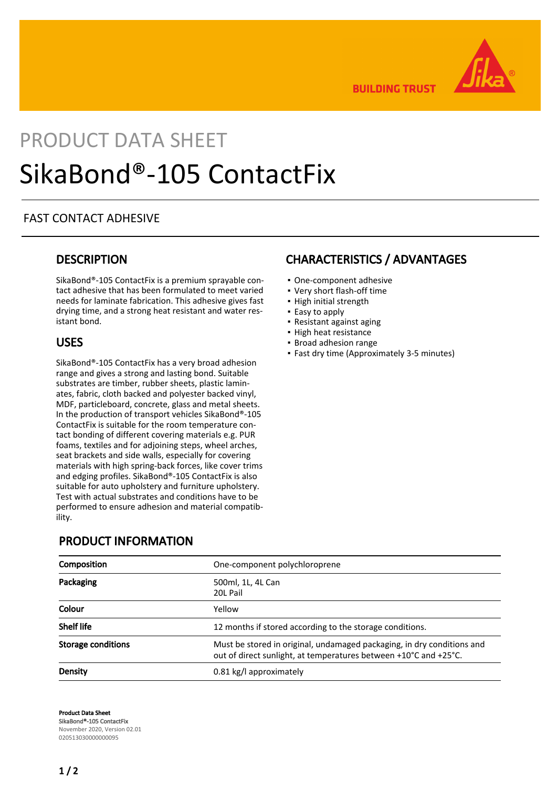

**BUILDING TRUST** 

# PRODUCT DATA SHEET SikaBond®-105 ContactFix

#### FAST CONTACT ADHESIVE

#### **DESCRIPTION**

SikaBond®-105 ContactFix is a premium sprayable contact adhesive that has been formulated to meet varied needs for laminate fabrication. This adhesive gives fast drying time, and a strong heat resistant and water resistant bond.

#### USES

SikaBond®-105 ContactFix has a very broad adhesion range and gives a strong and lasting bond. Suitable substrates are timber, rubber sheets, plastic laminates, fabric, cloth backed and polyester backed vinyl, MDF, particleboard, concrete, glass and metal sheets. In the production of transport vehicles SikaBond®-105 ContactFix is suitable for the room temperature contact bonding of different covering materials e.g. PUR foams, textiles and for adjoining steps, wheel arches, seat brackets and side walls, especially for covering materials with high spring-back forces, like cover trims and edging profiles. SikaBond®-105 ContactFix is also suitable for auto upholstery and furniture upholstery. Test with actual substrates and conditions have to be performed to ensure adhesion and material compatibility.

#### PRODUCT INFORMATION

| Composition               | One-component polychloroprene                                                                                                              |
|---------------------------|--------------------------------------------------------------------------------------------------------------------------------------------|
| Packaging                 | 500ml, 1L, 4L Can<br>20L Pail                                                                                                              |
| Colour                    | Yellow                                                                                                                                     |
| <b>Shelf life</b>         | 12 months if stored according to the storage conditions.                                                                                   |
| <b>Storage conditions</b> | Must be stored in original, undamaged packaging, in dry conditions and<br>out of direct sunlight, at temperatures between +10°C and +25°C. |
| <b>Density</b>            | 0.81 kg/l approximately                                                                                                                    |

Product Data Sheet SikaBond®-105 ContactFix November 2020, Version 02.01 020513030000000095

## CHARACTERISTICS / ADVANTAGES

- One-component adhesive
- Very short flash-off time
- High initial strength
- Easy to apply
- Resistant against aging
- High heat resistance
- Broad adhesion range
- Fast dry time (Approximately 3-5 minutes)